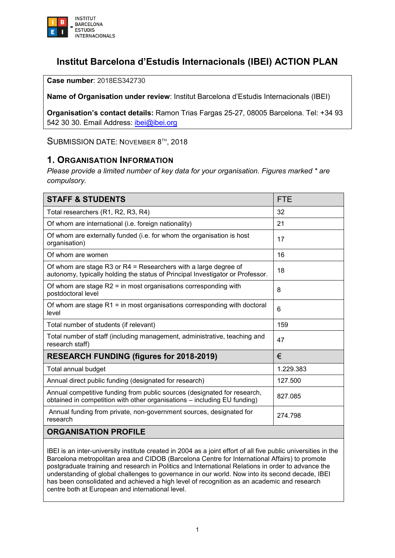

# **Institut Barcelona d'Estudis Internacionals (IBEI) ACTION PLAN**

**Case number**: 2018ES342730

**Name of Organisation under review**: Institut Barcelona d'Estudis Internacionals (IBEI)

**Organisation's contact details:** Ramon Trias Fargas 25-27, 08005 Barcelona. Tel: +34 93 542 30 30. Email Address: [ibei@ibei.org](mailto:ibei@ibei.org)

SUBMISSION DATE: NOVEMBER 8<sup>TH</sup>, 2018

#### **1. ORGANISATION INFORMATION**

*Please provide a limited number of key data for your organisation. Figures marked \* are compulsory.*

| <b>STAFF &amp; STUDENTS</b>                                                                                                                          | <b>FTE</b> |
|------------------------------------------------------------------------------------------------------------------------------------------------------|------------|
| Total researchers (R1, R2, R3, R4)                                                                                                                   | 32         |
| Of whom are international (i.e. foreign nationality)                                                                                                 | 21         |
| Of whom are externally funded (i.e. for whom the organisation is host<br>organisation)                                                               | 17         |
| Of whom are women                                                                                                                                    | 16         |
| Of whom are stage R3 or $R4$ = Researchers with a large degree of<br>autonomy, typically holding the status of Principal Investigator or Professor.  | 18         |
| Of whom are stage $R2$ = in most organisations corresponding with<br>postdoctoral level                                                              | 8          |
| Of whom are stage $R1$ = in most organisations corresponding with doctoral<br>level                                                                  | 6          |
| Total number of students (if relevant)                                                                                                               | 159        |
| Total number of staff (including management, administrative, teaching and<br>research staff)                                                         | 47         |
| <b>RESEARCH FUNDING (figures for 2018-2019)</b>                                                                                                      | €          |
| Total annual budget                                                                                                                                  | 1.229.383  |
| Annual direct public funding (designated for research)                                                                                               | 127.500    |
| Annual competitive funding from public sources (designated for research,<br>obtained in competition with other organisations - including EU funding) | 827.085    |
| Annual funding from private, non-government sources, designated for<br>research                                                                      | 274.798    |
| <b>ORGANISATION PROFILE</b>                                                                                                                          |            |

IBEI is an inter-university institute created in 2004 as a joint effort of all five public universities in the Barcelona metropolitan area and CIDOB (Barcelona Centre for International Affairs) to promote postgraduate training and research in Politics and International Relations in order to advance the understanding of global challenges to governance in our world. Now into its second decade, IBEI has been consolidated and achieved a high level of recognition as an academic and research centre both at European and international level.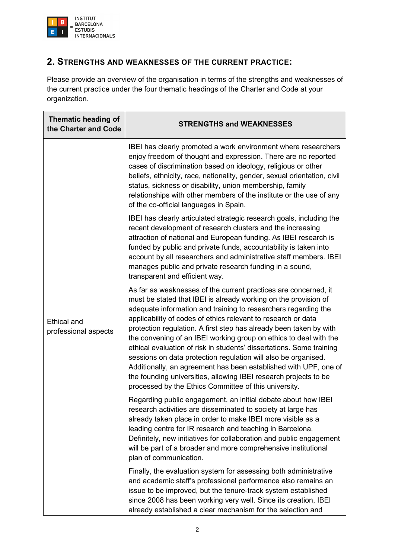

### **2. STRENGTHS AND WEAKNESSES OF THE CURRENT PRACTICE:**

Please provide an overview of the organisation in terms of the strengths and weaknesses of the current practice under the four thematic headings of the Charter and Code at your organization.

| Thematic heading of<br>the Charter and Code | <b>STRENGTHS and WEAKNESSES</b>                                                                                                                                                                                                                                                                                                                                                                                                                                                                                                                                                                                                                                                                                                                             |
|---------------------------------------------|-------------------------------------------------------------------------------------------------------------------------------------------------------------------------------------------------------------------------------------------------------------------------------------------------------------------------------------------------------------------------------------------------------------------------------------------------------------------------------------------------------------------------------------------------------------------------------------------------------------------------------------------------------------------------------------------------------------------------------------------------------------|
| <b>Ethical and</b><br>professional aspects  | IBEI has clearly promoted a work environment where researchers<br>enjoy freedom of thought and expression. There are no reported<br>cases of discrimination based on ideology, religious or other<br>beliefs, ethnicity, race, nationality, gender, sexual orientation, civil<br>status, sickness or disability, union membership, family<br>relationships with other members of the institute or the use of any<br>of the co-official languages in Spain.                                                                                                                                                                                                                                                                                                  |
|                                             | IBEI has clearly articulated strategic research goals, including the<br>recent development of research clusters and the increasing<br>attraction of national and European funding. As IBEI research is<br>funded by public and private funds, accountability is taken into<br>account by all researchers and administrative staff members. IBEI<br>manages public and private research funding in a sound,<br>transparent and efficient way.                                                                                                                                                                                                                                                                                                                |
|                                             | As far as weaknesses of the current practices are concerned, it<br>must be stated that IBEI is already working on the provision of<br>adequate information and training to researchers regarding the<br>applicability of codes of ethics relevant to research or data<br>protection regulation. A first step has already been taken by with<br>the convening of an IBEI working group on ethics to deal with the<br>ethical evaluation of risk in students' dissertations. Some training<br>sessions on data protection regulation will also be organised.<br>Additionally, an agreement has been established with UPF, one of<br>the founding universities, allowing IBEI research projects to be<br>processed by the Ethics Committee of this university. |
|                                             | Regarding public engagement, an initial debate about how IBEI<br>research activities are disseminated to society at large has<br>already taken place in order to make IBEI more visible as a<br>leading centre for IR research and teaching in Barcelona.<br>Definitely, new initiatives for collaboration and public engagement<br>will be part of a broader and more comprehensive institutional<br>plan of communication.                                                                                                                                                                                                                                                                                                                                |
|                                             | Finally, the evaluation system for assessing both administrative<br>and academic staff's professional performance also remains an<br>issue to be improved, but the tenure-track system established<br>since 2008 has been working very well. Since its creation, IBEI<br>already established a clear mechanism for the selection and                                                                                                                                                                                                                                                                                                                                                                                                                        |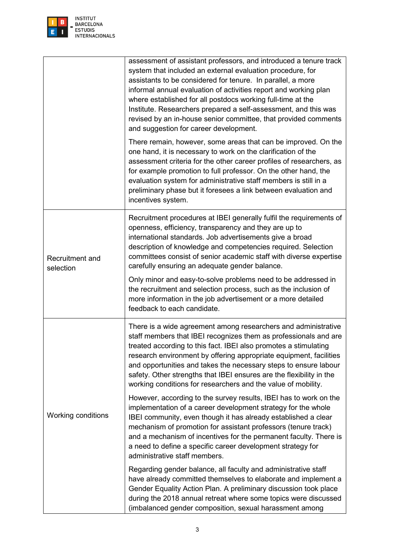

|                              | assessment of assistant professors, and introduced a tenure track<br>system that included an external evaluation procedure, for<br>assistants to be considered for tenure. In parallel, a more<br>informal annual evaluation of activities report and working plan<br>where established for all postdocs working full-time at the<br>Institute. Researchers prepared a self-assessment, and this was<br>revised by an in-house senior committee, that provided comments<br>and suggestion for career development. |
|------------------------------|-------------------------------------------------------------------------------------------------------------------------------------------------------------------------------------------------------------------------------------------------------------------------------------------------------------------------------------------------------------------------------------------------------------------------------------------------------------------------------------------------------------------|
|                              | There remain, however, some areas that can be improved. On the<br>one hand, it is necessary to work on the clarification of the<br>assessment criteria for the other career profiles of researchers, as<br>for example promotion to full professor. On the other hand, the<br>evaluation system for administrative staff members is still in a<br>preliminary phase but it foresees a link between evaluation and<br>incentives system.                                                                           |
| Recruitment and<br>selection | Recruitment procedures at IBEI generally fulfil the requirements of<br>openness, efficiency, transparency and they are up to<br>international standards. Job advertisements give a broad<br>description of knowledge and competencies required. Selection<br>committees consist of senior academic staff with diverse expertise<br>carefully ensuring an adequate gender balance.                                                                                                                                 |
|                              | Only minor and easy-to-solve problems need to be addressed in<br>the recruitment and selection process, such as the inclusion of<br>more information in the job advertisement or a more detailed<br>feedback to each candidate.                                                                                                                                                                                                                                                                                   |
|                              | There is a wide agreement among researchers and administrative<br>staff members that IBEI recognizes them as professionals and are<br>treated according to this fact. IBEI also promotes a stimulating<br>research environment by offering appropriate equipment, facilities<br>and opportunities and takes the necessary steps to ensure labour<br>safety. Other strengths that IBEI ensures are the flexibility in the<br>working conditions for researchers and the value of mobility.                         |
| Working conditions           | However, according to the survey results, IBEI has to work on the<br>implementation of a career development strategy for the whole<br>IBEI community, even though it has already established a clear<br>mechanism of promotion for assistant professors (tenure track)<br>and a mechanism of incentives for the permanent faculty. There is<br>a need to define a specific career development strategy for<br>administrative staff members.                                                                       |
|                              | Regarding gender balance, all faculty and administrative staff<br>have already committed themselves to elaborate and implement a<br>Gender Equality Action Plan. A preliminary discussion took place<br>during the 2018 annual retreat where some topics were discussed<br>(imbalanced gender composition, sexual harassment among                                                                                                                                                                                |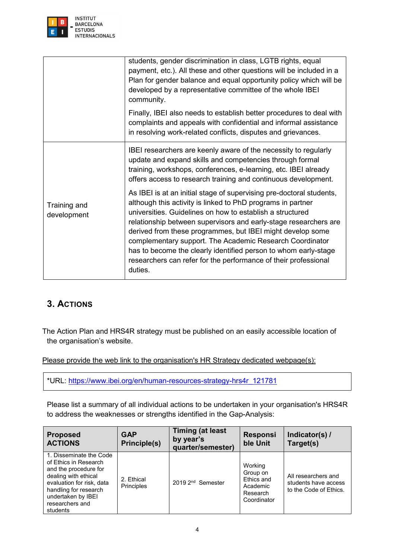

|                             | students, gender discrimination in class, LGTB rights, equal<br>payment, etc.). All these and other questions will be included in a<br>Plan for gender balance and equal opportunity policy which will be<br>developed by a representative committee of the whole IBEI<br>community.                                                                                                                                                                                                                                                            |
|-----------------------------|-------------------------------------------------------------------------------------------------------------------------------------------------------------------------------------------------------------------------------------------------------------------------------------------------------------------------------------------------------------------------------------------------------------------------------------------------------------------------------------------------------------------------------------------------|
|                             | Finally, IBEI also needs to establish better procedures to deal with<br>complaints and appeals with confidential and informal assistance<br>in resolving work-related conflicts, disputes and grievances.                                                                                                                                                                                                                                                                                                                                       |
|                             | IBEI researchers are keenly aware of the necessity to regularly<br>update and expand skills and competencies through formal<br>training, workshops, conferences, e-learning, etc. IBEI already<br>offers access to research training and continuous development.                                                                                                                                                                                                                                                                                |
| Training and<br>development | As IBEI is at an initial stage of supervising pre-doctoral students,<br>although this activity is linked to PhD programs in partner<br>universities. Guidelines on how to establish a structured<br>relationship between supervisors and early-stage researchers are<br>derived from these programmes, but IBEI might develop some<br>complementary support. The Academic Research Coordinator<br>has to become the clearly identified person to whom early-stage<br>researchers can refer for the performance of their professional<br>duties. |

## **3. ACTIONS**

The Action Plan and HRS4R strategy must be published on an easily accessible location of the organisation's website.

Please provide the web link to the organisation's HR Strategy dedicated webpage(s):

\*URL: [https://www.ibei.org/en/human-resources-strategy-hrs4r\\_121781](https://www.ibei.org/en/human-resources-strategy-hrs4r_121781)

Please list a summary of all individual actions to be undertaken in your organisation's HRS4R to address the weaknesses or strengths identified in the Gap-Analysis:

| <b>Proposed</b><br><b>ACTIONS</b>                                                                                                                                                                            | <b>GAP</b><br>Principle(s) | <b>Timing (at least</b><br>by year's<br>quarter/semester) | <b>Responsi</b><br>ble Unit                                              | Indicator(s) /<br>Target(s)                                           |  |  |
|--------------------------------------------------------------------------------------------------------------------------------------------------------------------------------------------------------------|----------------------------|-----------------------------------------------------------|--------------------------------------------------------------------------|-----------------------------------------------------------------------|--|--|
| 1. Disseminate the Code<br>of Ethics in Research<br>and the procedure for<br>dealing with ethical<br>evaluation for risk, data<br>handling for research<br>undertaken by IBEI<br>researchers and<br>students | 2. Ethical<br>Principles   | 2019 2 <sup>nd</sup> Semester                             | Working<br>Group on<br>Ethics and<br>Academic<br>Research<br>Coordinator | All researchers and<br>students have access<br>to the Code of Ethics. |  |  |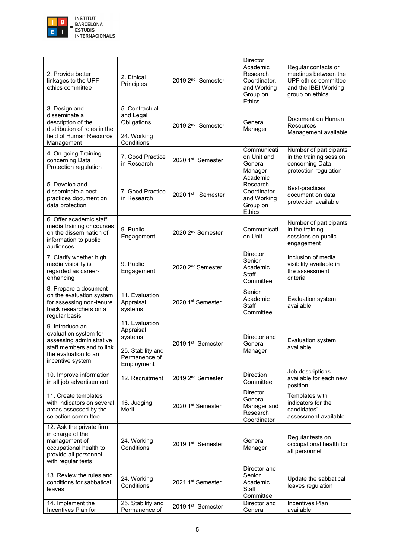

| 2. Provide better<br>linkages to the UPF<br>ethics committee                                                                                  | 2. Ethical<br>Principles                                                                   | 2019 2 <sup>nd</sup> Semester                       | Director,<br>Academic<br>Research<br>Coordinator,<br>and Working<br>Group on<br><b>Ethics</b> | Regular contacts or<br>meetings between the<br>UPF ethics committee<br>and the IBEI Working<br>group on ethics |
|-----------------------------------------------------------------------------------------------------------------------------------------------|--------------------------------------------------------------------------------------------|-----------------------------------------------------|-----------------------------------------------------------------------------------------------|----------------------------------------------------------------------------------------------------------------|
| 3. Design and<br>disseminate a<br>description of the<br>distribution of roles in the<br>field of Human Resource<br>Management                 | 5. Contractual<br>and Legal<br>Obligations<br>24. Working<br>Conditions                    | General<br>2019 2 <sup>nd</sup> Semester<br>Manager |                                                                                               | Document on Human<br>Resources<br>Management available                                                         |
| 4. On-going Training<br>concerning Data<br>Protection regulation                                                                              | 7. Good Practice<br>in Research                                                            | 2020 1st Semester                                   | Communicati<br>on Unit and<br>General<br>Manager                                              | Number of participants<br>in the training session<br>concerning Data<br>protection regulation                  |
| 5. Develop and<br>disseminate a best-<br>practices document on<br>data protection                                                             | 7. Good Practice<br>in Research                                                            | 2020 1 <sup>st</sup> Semester                       | Academic<br>Research<br>Coordinator<br>and Working<br>Group on<br><b>Ethics</b>               | Best-practices<br>document on data<br>protection available                                                     |
| 6. Offer academic staff<br>media training or courses<br>on the dissemination of<br>information to public<br>audiences                         | 9. Public<br>Engagement                                                                    | 2020 2 <sup>nd</sup> Semester                       | Communicati<br>on Unit                                                                        | Number of participants<br>in the training<br>sessions on public<br>engagement                                  |
| 7. Clarify whether high<br>media visibility is<br>regarded as career-<br>enhancing                                                            | 9. Public<br>Engagement                                                                    | 2020 2 <sup>nd</sup> Semester                       | Director,<br>Senior<br>Academic<br><b>Staff</b><br>Committee                                  | Inclusion of media<br>visibility available in<br>the assessment<br>criteria                                    |
| 8. Prepare a document<br>on the evaluation system<br>for assessing non-tenure<br>track researchers on a<br>regular basis                      | 11. Evaluation<br>Appraisal<br>systems                                                     | 2020 1st Semester                                   | Senior<br>Academic<br><b>Staff</b><br>Committee                                               | Evaluation system<br>available                                                                                 |
| 9. Introduce an<br>evaluation system for<br>assessing administrative<br>staff members and to link<br>the evaluation to an<br>incentive system | 11. Evaluation<br>Appraisal<br>systems<br>25. Stability and<br>Permanence of<br>Employment | 2019 1st Semester                                   | Director and<br>General<br>Manager                                                            | Evaluation system<br>available                                                                                 |
| 10. Improve information<br>in all job advertisement                                                                                           | 12. Recruitment                                                                            | 2019 2 <sup>nd</sup> Semester                       | Direction<br>Committee                                                                        | Job descriptions<br>available for each new<br>position                                                         |
| 11. Create templates<br>with indicators on several<br>areas assessed by the<br>selection committee                                            | 16. Judging<br>Merit                                                                       | 2020 1st Semester                                   | Director,<br>General<br>Manager and<br>Research<br>Coordinator                                | Templates with<br>indicators for the<br>candidates'<br>assessment available                                    |
| 12. Ask the private firm<br>in charge of the<br>management of<br>occupational health to<br>provide all personnel<br>with regular tests        | 24. Working<br>Conditions                                                                  | 2019 1st Semester                                   | General<br>Manager                                                                            | Regular tests on<br>occupational health for<br>all personnel                                                   |
| 13. Review the rules and<br>conditions for sabbatical<br>leaves                                                                               | 24. Working<br>Conditions                                                                  | 2021 1st Semester                                   | Director and<br>Senior<br>Academic<br><b>Staff</b><br>Committee                               | Update the sabbatical<br>leaves regulation                                                                     |
| 14. Implement the<br>Incentives Plan for                                                                                                      | 25. Stability and<br>Permanence of                                                         | 2019 1st Semester                                   | Director and<br>General                                                                       | <b>Incentives Plan</b><br>available                                                                            |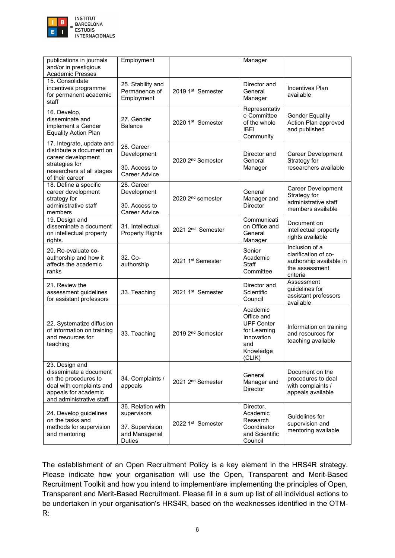

| publications in journals<br>and/or in prestigious<br><b>Academic Presses</b>                                                                     | Employment                                                                             |                               | Manager                                                                                                 |                                                                                                 |
|--------------------------------------------------------------------------------------------------------------------------------------------------|----------------------------------------------------------------------------------------|-------------------------------|---------------------------------------------------------------------------------------------------------|-------------------------------------------------------------------------------------------------|
| 15. Consolidate<br>incentives programme<br>for permanent academic<br>staff                                                                       | 25. Stability and<br>Permanence of<br>Employment                                       | 2019 1st Semester             | Director and<br>General<br>Manager                                                                      | <b>Incentives Plan</b><br>available                                                             |
| 16. Develop,<br>disseminate and<br>implement a Gender<br><b>Equality Action Plan</b>                                                             | 27. Gender<br>Balance                                                                  | 2020 1st Semester             | Representativ<br>e Committee<br>of the whole<br><b>IBEI</b><br>Community                                | <b>Gender Equality</b><br>Action Plan approved<br>and published                                 |
| 17. Integrate, update and<br>distribute a document on<br>career development<br>strategies for<br>researchers at all stages<br>of their career    | 28. Career<br>Development<br>30. Access to<br>Career Advice                            | 2020 2 <sup>nd</sup> Semester | Director and<br>General<br>Manager                                                                      | Career Development<br>Strategy for<br>researchers available                                     |
| 18. Define a specific<br>career development<br>strategy for<br>administrative staff<br>members                                                   | 28. Career<br>Development<br>30. Access to<br>Career Advice                            | 2020 2 <sup>nd</sup> semester | General<br>Manager and<br>Director                                                                      | Career Development<br>Strategy for<br>administrative staff<br>members available                 |
| 19. Design and<br>disseminate a document<br>on intellectual property<br>rights.                                                                  | 31. Intellectual<br><b>Property Rights</b>                                             | 2021 2 <sup>nd</sup> Semester | Communicati<br>on Office and<br>General<br>Manager                                                      | Document on<br>intellectual property<br>rights available                                        |
| 20. Re-evaluate co-<br>authorship and how it<br>affects the academic<br>ranks                                                                    | 32. Co-<br>authorship                                                                  | 2021 1 <sup>st</sup> Semester | Senior<br>Academic<br>Staff<br>Committee                                                                | Inclusion of a<br>clarification of co-<br>authorship available in<br>the assessment<br>criteria |
| 21. Review the<br>assessment guidelines<br>for assistant professors                                                                              | 33. Teaching                                                                           | 2021 1 <sup>st</sup> Semester | Director and<br>Scientific<br>Council                                                                   | Assessment<br>guidelines for<br>assistant professors<br>available                               |
| 22. Systematize diffusion<br>of information on training<br>and resources for<br>teaching                                                         | 33. Teaching                                                                           | 2019 2 <sup>nd</sup> Semester | Academic<br>Office and<br><b>UPF Center</b><br>for Learning<br>Innovation<br>and<br>Knowledge<br>(CLIK) | Information on training<br>and resources for<br>teaching available                              |
| 23. Design and<br>disseminate a document<br>on the procedures to<br>deal with complaints and<br>appeals for academic<br>and administrative staff | 34. Complaints /<br>appeals                                                            | 2021 2 <sup>nd</sup> Semester | General<br>Manager and<br>Director                                                                      | Document on the<br>procedures to deal<br>with complaints /<br>appeals available                 |
| 24. Develop guidelines<br>on the tasks and<br>methods for supervision<br>and mentoring                                                           | 36. Relation with<br>supervisors<br>37. Supervision<br>and Managerial<br><b>Duties</b> | 2022 1 <sup>st</sup> Semester | Director,<br>Academic<br>Research<br>Coordinator<br>and Scientific<br>Council                           | Guidelines for<br>supervision and<br>mentoring available                                        |

The establishment of an Open Recruitment Policy is a key element in the HRS4R strategy. Please indicate how your organisation will use the Open, Transparent and Merit-Based Recruitment Toolkit and how you intend to implement/are implementing the principles of Open, Transparent and Merit-Based Recruitment. Please fill in a sum up list of all individual actions to be undertaken in your organisation's HRS4R, based on the weaknesses identified in the OTM-R: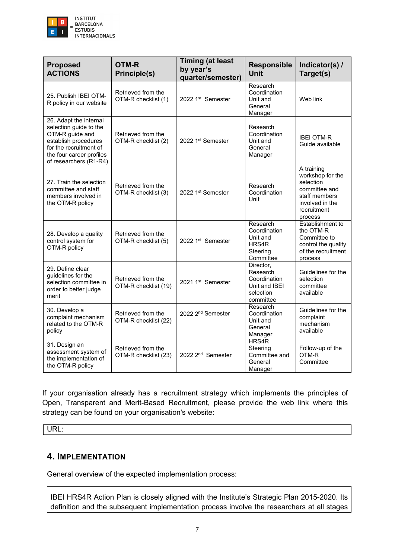

| <b>Proposed</b><br><b>ACTIONS</b>                                                                                                                                           | <b>OTM-R</b><br><b>Principle(s)</b>        | <b>Timing (at least</b><br>by year's<br>quarter/semester) | <b>Responsible</b><br><b>Unit</b>                                                | Indicator(s) /<br>Target(s)                                                                                                |  |
|-----------------------------------------------------------------------------------------------------------------------------------------------------------------------------|--------------------------------------------|-----------------------------------------------------------|----------------------------------------------------------------------------------|----------------------------------------------------------------------------------------------------------------------------|--|
| 25. Publish IBEI OTM-<br>R policy in our website                                                                                                                            | Retrieved from the<br>OTM-R checklist (1)  | 2022 1 <sup>st</sup> Semester                             | Research<br>Coordination<br>Unit and<br>General<br>Manager                       | Web link                                                                                                                   |  |
| 26. Adapt the internal<br>selection guide to the<br>OTM-R guide and<br>establish procedures<br>for the recruitment of<br>the four career profiles<br>of researchers (R1-R4) | Retrieved from the<br>OTM-R checklist (2)  | 2022 1st Semester                                         | Research<br>Coordination<br>Unit and<br>General<br>Manager                       | <b>IBEI OTM-R</b><br>Guide available                                                                                       |  |
| 27. Train the selection<br>committee and staff<br>members involved in<br>the OTM-R policy                                                                                   | Retrieved from the<br>OTM-R checklist (3)  | 2022 1st Semester                                         | Research<br>Coordination<br>Unit                                                 | A training<br>workshop for the<br>selection<br>committee and<br>staff members<br>involved in the<br>recruitment<br>process |  |
| 28. Develop a quality<br>control system for<br>OTM-R policy                                                                                                                 | Retrieved from the<br>OTM-R checklist (5)  | 2022 1 <sup>st</sup> Semester                             | Research<br>Coordination<br>Unit and<br>HRS4R<br>Steering<br>Committee           | Establishment to<br>the OTM-R<br>Committee to<br>control the quality<br>of the recruitment<br>process                      |  |
| 29. Define clear<br>guidelines for the<br>selection committee in<br>order to better judge<br>merit                                                                          | Retrieved from the<br>OTM-R checklist (19) | 2021 1 <sup>st</sup> Semester                             | Director,<br>Research<br>Coordination<br>Unit and IBEI<br>selection<br>committee | Guidelines for the<br>selection<br>committee<br>available                                                                  |  |
| 30. Develop a<br>complaint mechanism<br>related to the OTM-R<br>policy                                                                                                      | Retrieved from the<br>OTM-R checklist (22) | 2022 2 <sup>nd</sup> Semester                             | Research<br>Coordination<br>Unit and<br>General<br>Manager                       | Guidelines for the<br>complaint<br>mechanism<br>available                                                                  |  |
| 31. Design an<br>assessment system of<br>the implementation of<br>the OTM-R policy                                                                                          | Retrieved from the<br>OTM-R checklist (23) | 2022 2 <sup>nd</sup> Semester                             | HRS4R<br>Steering<br>Committee and<br>General<br>Manager                         | Follow-up of the<br>OTM-R<br>Committee                                                                                     |  |

If your organisation already has a recruitment strategy which implements the principles of Open, Transparent and Merit-Based Recruitment, please provide the web link where this strategy can be found on your organisation's website:

URL:

#### **4. IMPLEMENTATION**

General overview of the expected implementation process:

IBEI HRS4R Action Plan is closely aligned with the Institute's Strategic Plan 2015-2020. Its definition and the subsequent implementation process involve the researchers at all stages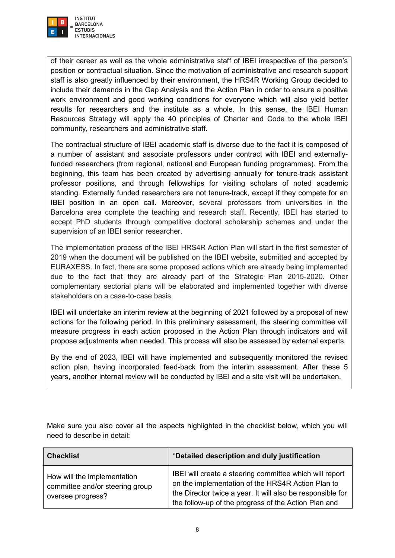

of their career as well as the whole administrative staff of IBEI irrespective of the person's position or contractual situation. Since the motivation of administrative and research support staff is also greatly influenced by their environment, the HRS4R Working Group decided to include their demands in the Gap Analysis and the Action Plan in order to ensure a positive work environment and good working conditions for everyone which will also yield better results for researchers and the institute as a whole. In this sense, the IBEI Human Resources Strategy will apply the 40 principles of Charter and Code to the whole IBEI community, researchers and administrative staff.

The contractual structure of IBEI academic staff is diverse due to the fact it is composed of a number of assistant and associate professors under contract with IBEI and externallyfunded researchers (from regional, national and European funding programmes). From the beginning, this team has been created by advertising annually for tenure-track assistant professor positions, and through fellowships for visiting scholars of noted academic standing. Externally funded researchers are not tenure-track, except if they compete for an IBEI position in an open call. Moreover, several professors from universities in the Barcelona area complete the teaching and research staff. Recently, IBEI has started to accept PhD students through competitive doctoral scholarship schemes and under the supervision of an IBEI senior researcher.

The implementation process of the IBEI HRS4R Action Plan will start in the first semester of 2019 when the document will be published on the IBEI website, submitted and accepted by EURAXESS. In fact, there are some proposed actions which are already being implemented due to the fact that they are already part of the Strategic Plan 2015-2020. Other complementary sectorial plans will be elaborated and implemented together with diverse stakeholders on a case-to-case basis.

IBEI will undertake an interim review at the beginning of 2021 followed by a proposal of new actions for the following period. In this preliminary assessment, the steering committee will measure progress in each action proposed in the Action Plan through indicators and will propose adjustments when needed. This process will also be assessed by external experts.

By the end of 2023, IBEI will have implemented and subsequently monitored the revised action plan, having incorporated feed-back from the interim assessment. After these 5 years, another internal review will be conducted by IBEI and a site visit will be undertaken.

Make sure you also cover all the aspects highlighted in the checklist below, which you will need to describe in detail:

| <b>Checklist</b>                                                                    | *Detailed description and duly justification                                                                                                                                                                                       |
|-------------------------------------------------------------------------------------|------------------------------------------------------------------------------------------------------------------------------------------------------------------------------------------------------------------------------------|
| How will the implementation<br>committee and/or steering group<br>oversee progress? | IBEI will create a steering committee which will report<br>on the implementation of the HRS4R Action Plan to<br>the Director twice a year. It will also be responsible for<br>the follow-up of the progress of the Action Plan and |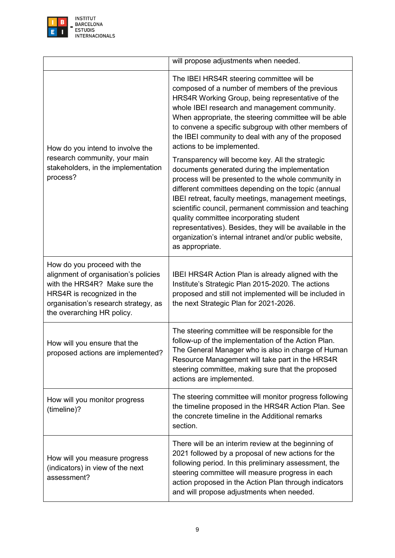

|                                                                                                                                                                                                          | will propose adjustments when needed.                                                                                                                                                                                                                                                                                                                                                                                                                                                                                |
|----------------------------------------------------------------------------------------------------------------------------------------------------------------------------------------------------------|----------------------------------------------------------------------------------------------------------------------------------------------------------------------------------------------------------------------------------------------------------------------------------------------------------------------------------------------------------------------------------------------------------------------------------------------------------------------------------------------------------------------|
| How do you intend to involve the<br>research community, your main<br>stakeholders, in the implementation<br>process?                                                                                     | The IBEI HRS4R steering committee will be<br>composed of a number of members of the previous<br>HRS4R Working Group, being representative of the<br>whole IBEI research and management community.<br>When appropriate, the steering committee will be able<br>to convene a specific subgroup with other members of<br>the IBEI community to deal with any of the proposed<br>actions to be implemented.                                                                                                              |
|                                                                                                                                                                                                          | Transparency will become key. All the strategic<br>documents generated during the implementation<br>process will be presented to the whole community in<br>different committees depending on the topic (annual<br>IBEI retreat, faculty meetings, management meetings,<br>scientific council, permanent commission and teaching<br>quality committee incorporating student<br>representatives). Besides, they will be available in the<br>organization's internal intranet and/or public website,<br>as appropriate. |
| How do you proceed with the<br>alignment of organisation's policies<br>with the HRS4R? Make sure the<br>HRS4R is recognized in the<br>organisation's research strategy, as<br>the overarching HR policy. | IBEI HRS4R Action Plan is already aligned with the<br>Institute's Strategic Plan 2015-2020. The actions<br>proposed and still not implemented will be included in<br>the next Strategic Plan for 2021-2026.                                                                                                                                                                                                                                                                                                          |
| How will you ensure that the<br>proposed actions are implemented?                                                                                                                                        | The steering committee will be responsible for the<br>follow-up of the implementation of the Action Plan.<br>The General Manager who is also in charge of Human<br>Resource Management will take part in the HRS4R<br>steering committee, making sure that the proposed<br>actions are implemented.                                                                                                                                                                                                                  |
| How will you monitor progress<br>(timeline)?                                                                                                                                                             | The steering committee will monitor progress following<br>the timeline proposed in the HRS4R Action Plan. See<br>the concrete timeline in the Additional remarks<br>section.                                                                                                                                                                                                                                                                                                                                         |
| How will you measure progress<br>(indicators) in view of the next<br>assessment?                                                                                                                         | There will be an interim review at the beginning of<br>2021 followed by a proposal of new actions for the<br>following period. In this preliminary assessment, the<br>steering committee will measure progress in each<br>action proposed in the Action Plan through indicators<br>and will propose adjustments when needed.                                                                                                                                                                                         |